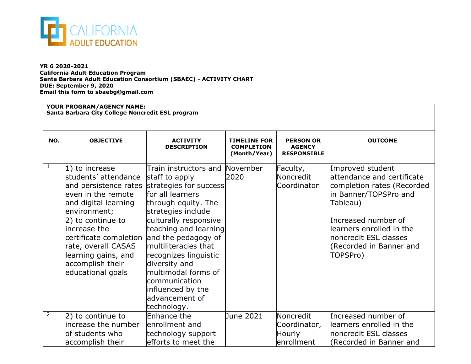

accomplish their

**YR 6 2020-2021 California Adult Education Program Santa Barbara Adult Education Consortium (SBAEC) - ACTIVITY CHART DUE: September 9, 2020 Email this form to sbaebg@gmail.com**

## **YOUR PROGRAM/AGENCY NAME: Santa Barbara City College Noncredit ESL program NO. OBJECTIVE ACTIVITY DESCRIPTION TIMELINE FOR COMPLETION (Month/Year) PERSON OR AGENCY RESPONSIBLE OUTCOME**  $1 \quad 1$ ) to increase students' attendance and persistence rates strategies for success even in the remote and digital learning environment; 2) to continue to increase the certificate completion and the pedagogy of rate, overall CASAS learning gains, and accomplish their educational goals Train instructors and November staff to apply for all learners through equity. The strategies include culturally responsive teaching and learning multiliteracies that recognizes linguistic diversity and multimodal forms of communication influenced by the advancement of technology. 2020 Faculty, **Noncredit** Coordinator Improved student attendance and certificate completion rates (Recorded in Banner/TOPSPro and Tableau) Increased number of learners enrolled in the noncredit ESL classes (Recorded in Banner and TOPSPro)  $2$  2) to continue to increase the number of students who Enhance the enrollment and technology support June 2021 Noncredit Coordinator, **Hourly** Increased number of learners enrolled in the noncredit ESL classes

enrollment

(Recorded in Banner and

efforts to meet the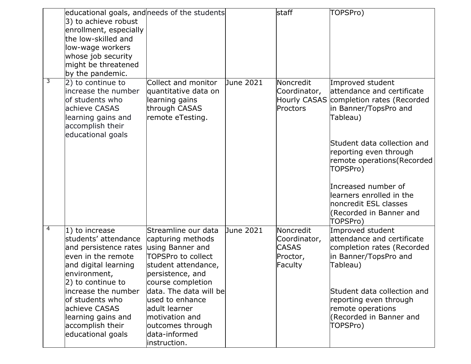|   | educational goals, and needs of the students |                        |           | staff        | TOPSPro)                                              |
|---|----------------------------------------------|------------------------|-----------|--------------|-------------------------------------------------------|
|   | 3) to achieve robust                         |                        |           |              |                                                       |
|   | enrollment, especially                       |                        |           |              |                                                       |
|   | the low-skilled and                          |                        |           |              |                                                       |
|   | low-wage workers                             |                        |           |              |                                                       |
|   | whose job security                           |                        |           |              |                                                       |
|   | might be threatened                          |                        |           |              |                                                       |
|   | by the pandemic.                             |                        |           |              |                                                       |
| 3 | 2) to continue to                            | Collect and monitor    | June 2021 | Noncredit    | Improved student                                      |
|   | increase the number                          | quantitative data on   |           | Coordinator, | attendance and certificate                            |
|   | of students who                              | learning gains         |           | Hourly CASAS | completion rates (Recorded                            |
|   | achieve CASAS                                | through CASAS          |           | Proctors     | in Banner/TopsPro and                                 |
|   | learning gains and                           | remote eTesting.       |           |              | Tableau)                                              |
|   | accomplish their                             |                        |           |              |                                                       |
|   | educational goals                            |                        |           |              |                                                       |
|   |                                              |                        |           |              | Student data collection and                           |
|   |                                              |                        |           |              | reporting even through<br>remote operations (Recorded |
|   |                                              |                        |           |              | TOPSPro)                                              |
|   |                                              |                        |           |              |                                                       |
|   |                                              |                        |           |              | Increased number of                                   |
|   |                                              |                        |           |              | llearners enrolled in the                             |
|   |                                              |                        |           |              | noncredit ESL classes                                 |
|   |                                              |                        |           |              | (Recorded in Banner and                               |
|   |                                              |                        |           |              | TOPSPro)                                              |
| 4 | 1) to increase                               | Streamline our data    | June 2021 | Noncredit    | Improved student                                      |
|   | students' attendance                         | capturing methods      |           | Coordinator, | attendance and certificate                            |
|   | and persistence rates                        | using Banner and       |           | <b>CASAS</b> | completion rates (Recorded                            |
|   | even in the remote                           | TOPSPro to collect     |           | Proctor,     | in Banner/TopsPro and                                 |
|   | and digital learning                         | student attendance,    |           | Faculty      | Tableau)                                              |
|   | environment,                                 | persistence, and       |           |              |                                                       |
|   | 2) to continue to                            | course completion      |           |              |                                                       |
|   | lincrease the number                         | data. The data will be |           |              | Student data collection and                           |
|   | of students who                              | lused to enhance       |           |              | reporting even through                                |
|   | achieve CASAS                                | ladult learner         |           |              | remote operations                                     |
|   | learning gains and                           | motivation and         |           |              | (Recorded in Banner and                               |
|   | accomplish their                             | outcomes through       |           |              | TOPSPro)                                              |
|   | educational goals                            | data-informed          |           |              |                                                       |
|   |                                              | instruction.           |           |              |                                                       |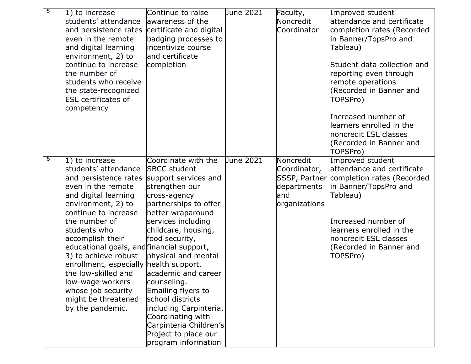| 5 | 1) to increase<br>students' attendance<br>and persistence rates<br>even in the remote<br>and digital learning<br>environment, 2) to<br>continue to increase<br>the number of<br>students who receive<br>the state-recognized<br><b>ESL</b> certificates of<br>competency                                                                                                                                                                             | Continue to raise<br>awareness of the<br>certificate and digital<br>badging processes to<br>incentivize course<br>and certificate<br>completion                                                                                                                                                                                                                                                                                                   | June 2021 | Faculty,<br>Noncredit<br>Coordinator                              | Improved student<br>attendance and certificate<br>completion rates (Recorded<br>in Banner/TopsPro and<br>Tableau)<br>Student data collection and<br>reporting even through<br>remote operations<br>(Recorded in Banner and<br>TOPSPro)<br>Increased number of<br>learners enrolled in the<br>noncredit ESL classes<br>(Recorded in Banner and<br>TOPSPro) |
|---|------------------------------------------------------------------------------------------------------------------------------------------------------------------------------------------------------------------------------------------------------------------------------------------------------------------------------------------------------------------------------------------------------------------------------------------------------|---------------------------------------------------------------------------------------------------------------------------------------------------------------------------------------------------------------------------------------------------------------------------------------------------------------------------------------------------------------------------------------------------------------------------------------------------|-----------|-------------------------------------------------------------------|-----------------------------------------------------------------------------------------------------------------------------------------------------------------------------------------------------------------------------------------------------------------------------------------------------------------------------------------------------------|
| 6 | $ 1\rangle$ to increase<br>students' attendance<br>and persistence rates<br>even in the remote<br>and digital learning<br>environment, 2) to<br>continue to increase<br>the number of<br>students who<br>accomplish their<br>educational goals, and financial support,<br>3) to achieve robust<br>enrollment, especially health support,<br>the low-skilled and<br>low-wage workers<br>whose job security<br>might be threatened<br>by the pandemic. | Coordinate with the<br><b>SBCC</b> student<br>support services and<br>strengthen our<br>cross-agency<br>partnerships to offer<br>better wraparound<br>services including<br>childcare, housing,<br>food security,<br>physical and mental<br>lacademic and career<br>counseling.<br>Emailing flyers to<br>school districts<br>including Carpinteria.<br>Coordinating with<br>Carpinteria Children's<br>Project to place our<br>program information | June 2021 | Noncredit<br>Coordinator,<br>departments<br>land<br>organizations | Improved student<br>attendance and certificate<br>SSSP, Partner completion rates (Recorded<br>in Banner/TopsPro and<br>Tableau)<br>Increased number of<br>learners enrolled in the<br>noncredit ESL classes<br>(Recorded in Banner and<br>TOPSPro)                                                                                                        |